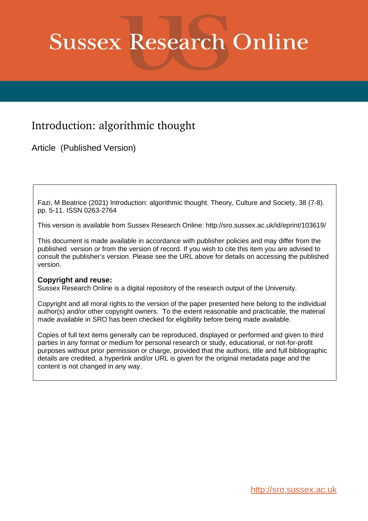# **Sussex Research Online**

## Introduction: algorithmic thought

Article (Published Version)

Fazi, M Beatrice (2021) Introduction: algorithmic thought. Theory, Culture and Society, 38 (7-8). pp. 5-11. ISSN 0263-2764

This version is available from Sussex Research Online: http://sro.sussex.ac.uk/id/eprint/103619/

This document is made available in accordance with publisher policies and may differ from the published version or from the version of record. If you wish to cite this item you are advised to consult the publisher's version. Please see the URL above for details on accessing the published version.

#### **Copyright and reuse:**

Sussex Research Online is a digital repository of the research output of the University.

Copyright and all moral rights to the version of the paper presented here belong to the individual author(s) and/or other copyright owners. To the extent reasonable and practicable, the material made available in SRO has been checked for eligibility before being made available.

Copies of full text items generally can be reproduced, displayed or performed and given to third parties in any format or medium for personal research or study, educational, or not-for-profit purposes without prior permission or charge, provided that the authors, title and full bibliographic details are credited, a hyperlink and/or URL is given for the original metadata page and the content is not changed in any way.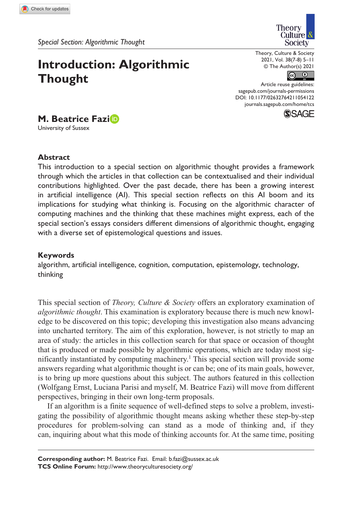*Special Section: Algorithmic Thought*

### **Introduction: Algorithmic Thought**

Theory Culture<sup>8</sup> Society

Theory, Culture & Society 2021, Vol. 38(7-8) 5–11 © The Author(s) 2021



DOI: 10.1177/02632764211054122 Article reuse guidelines: [sagepub.com/journals-permissions](https://uk.sagepub.com/en-gb/journals-permissions) [journals.sagepub.com/home/tcs](https://journals.sagepub.com/home/tcs)



**M. Beatrice Fazi**

University of Sussex

#### **Abstract**

This introduction to a special section on algorithmic thought provides a framework through which the articles in that collection can be contextualised and their individual contributions highlighted. Over the past decade, there has been a growing interest in artificial intelligence (AI). This special section reflects on this AI boom and its implications for studying what thinking is. Focusing on the algorithmic character of computing machines and the thinking that these machines might express, each of the special section's essays considers different dimensions of algorithmic thought, engaging with a diverse set of epistemological questions and issues.

#### **Keywords**

algorithm, artificial intelligence, cognition, computation, epistemology, technology, thinking

This special section of *Theory, Culture & Society* offers an exploratory examination of *algorithmic thought*. This examination is exploratory because there is much new knowledge to be discovered on this topic; developing this investigation also means advancing into uncharted territory. The aim of this exploration, however, is not strictly to map an area of study: the articles in this collection search for that space or occasion of thought that is produced or made possible by algorithmic operations, which are today most significantly instantiated by computing machinery.1 This special section will provide some answers regarding what algorithmic thought is or can be; one of its main goals, however, is to bring up more questions about this subject. The authors featured in this collection (Wolfgang Ernst, Luciana Parisi and myself, M. Beatrice Fazi) will move from different perspectives, bringing in their own long-term proposals.

If an algorithm is a finite sequence of well-defined steps to solve a problem, investigating the possibility of algorithmic thought means asking whether these step-by-step procedures for problem-solving can stand as a mode of thinking and, if they can, inquiring about what this mode of thinking accounts for. At the same time, positing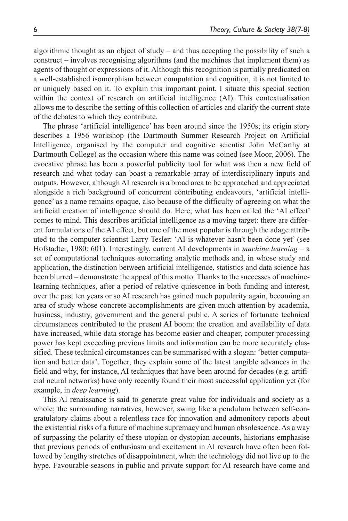algorithmic thought as an object of study – and thus accepting the possibility of such a construct – involves recognising algorithms (and the machines that implement them) as agents of thought or expressions of it. Although this recognition is partially predicated on a well-established isomorphism between computation and cognition, it is not limited to or uniquely based on it. To explain this important point, I situate this special section within the context of research on artificial intelligence (AI). This contextualisation allows me to describe the setting of this collection of articles and clarify the current state of the debates to which they contribute.

The phrase 'artificial intelligence' has been around since the 1950s; its origin story describes a 1956 workshop (the Dartmouth Summer Research Project on Artificial Intelligence, organised by the computer and cognitive scientist John McCarthy at Dartmouth College) as the occasion where this name was coined (see Moor, 2006). The evocative phrase has been a powerful publicity tool for what was then a new field of research and what today can boast a remarkable array of interdisciplinary inputs and outputs. However, although AI research is a broad area to be approached and appreciated alongside a rich background of concurrent contributing endeavours, 'artificial intelligence' as a name remains opaque, also because of the difficulty of agreeing on what the artificial creation of intelligence should do. Here, what has been called the 'AI effect' comes to mind. This describes artificial intelligence as a moving target: there are different formulations of the AI effect, but one of the most popular is through the adage attributed to the computer scientist Larry Tesler: 'AI is whatever hasn't been done yet' (see Hofstadter, 1980: 601). Interestingly, current AI developments in *machine learning* – a set of computational techniques automating analytic methods and, in whose study and application, the distinction between artificial intelligence, statistics and data science has been blurred – demonstrate the appeal of this motto. Thanks to the successes of machinelearning techniques, after a period of relative quiescence in both funding and interest, over the past ten years or so AI research has gained much popularity again, becoming an area of study whose concrete accomplishments are given much attention by academia, business, industry, government and the general public. A series of fortunate technical circumstances contributed to the present AI boom: the creation and availability of data have increased, while data storage has become easier and cheaper, computer processing power has kept exceeding previous limits and information can be more accurately classified. These technical circumstances can be summarised with a slogan: 'better computation and better data'. Together, they explain some of the latest tangible advances in the field and why, for instance, AI techniques that have been around for decades (e.g. artificial neural networks) have only recently found their most successful application yet (for example, in *deep learning*).

This AI renaissance is said to generate great value for individuals and society as a whole; the surrounding narratives, however, swing like a pendulum between self-congratulatory claims about a relentless race for innovation and admonitory reports about the existential risks of a future of machine supremacy and human obsolescence. As a way of surpassing the polarity of these utopian or dystopian accounts, historians emphasise that previous periods of enthusiasm and excitement in AI research have often been followed by lengthy stretches of disappointment, when the technology did not live up to the hype. Favourable seasons in public and private support for AI research have come and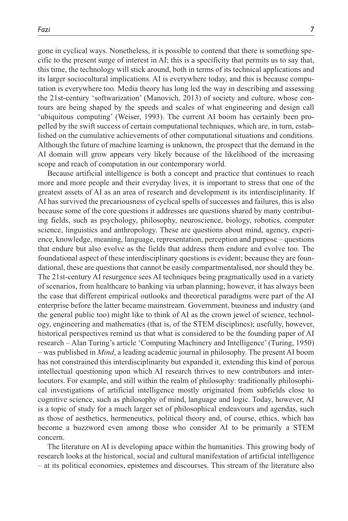gone in cyclical ways. Nonetheless, it is possible to contend that there is something specific to the present surge of interest in AI; this is a specificity that permits us to say that, this time, the technology will stick around, both in terms of its technical applications and its larger sociocultural implications. AI is everywhere today, and this is because computation is everywhere too. Media theory has long led the way in describing and assessing the 21st-century 'softwarization' (Manovich, 2013) of society and culture, whose contours are being shaped by the speeds and scales of what engineering and design call 'ubiquitous computing' (Weiser, 1993). The current AI boom has certainly been propelled by the swift success of certain computational techniques, which are, in turn, established on the cumulative achievements of other computational situations and conditions. Although the future of machine learning is unknown, the prospect that the demand in the AI domain will grow appears very likely because of the likelihood of the increasing scope and reach of computation in our contemporary world.

Because artificial intelligence is both a concept and practice that continues to reach more and more people and their everyday lives, it is important to stress that one of the greatest assets of AI as an area of research and development is its interdisciplinarity. If AI has survived the precariousness of cyclical spells of successes and failures, this is also because some of the core questions it addresses are questions shared by many contributing fields, such as psychology, philosophy, neuroscience, biology, robotics, computer science, linguistics and anthropology. These are questions about mind, agency, experience, knowledge, meaning, language, representation, perception and purpose – questions that endure but also evolve as the fields that address them endure and evolve too. The foundational aspect of these interdisciplinary questions is evident; because they are foundational, these are questions that cannot be easily compartmentalised, nor should they be. The 21st-century AI resurgence sees AI techniques being pragmatically used in a variety of scenarios, from healthcare to banking via urban planning; however, it has always been the case that different empirical outlooks and theoretical paradigms were part of the AI enterprise before the latter became mainstream. Government, business and industry (and the general public too) might like to think of AI as the crown jewel of science, technology, engineering and mathematics (that is, of the STEM disciplines); usefully, however, historical perspectives remind us that what is considered to be the founding paper of AI research – Alan Turing's article 'Computing Machinery and Intelligence' (Turing, 1950) – was published in *Mind*, a leading academic journal in philosophy. The present AI boom has not constrained this interdisciplinarity but expanded it, extending this kind of porous intellectual questioning upon which AI research thrives to new contributors and interlocutors. For example, and still within the realm of philosophy: traditionally philosophical investigations of artificial intelligence mostly originated from subfields close to cognitive science, such as philosophy of mind, language and logic. Today, however, AI is a topic of study for a much larger set of philosophical endeavours and agendas, such as those of aesthetics, hermeneutics, political theory and, of course, ethics, which has become a buzzword even among those who consider AI to be primarily a STEM concern.

The literature on AI is developing apace within the humanities. This growing body of research looks at the historical, social and cultural manifestation of artificial intelligence – at its political economies, epistemes and discourses. This stream of the literature also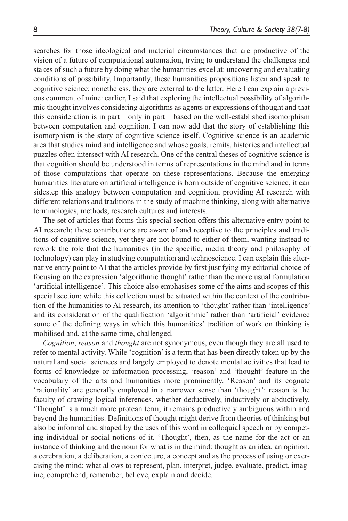searches for those ideological and material circumstances that are productive of the vision of a future of computational automation, trying to understand the challenges and stakes of such a future by doing what the humanities excel at: uncovering and evaluating conditions of possibility. Importantly, these humanities propositions listen and speak to cognitive science; nonetheless, they are external to the latter. Here I can explain a previous comment of mine: earlier, I said that exploring the intellectual possibility of algorithmic thought involves considering algorithms as agents or expressions of thought and that this consideration is in part – only in part – based on the well-established isomorphism between computation and cognition. I can now add that the story of establishing this isomorphism is the story of cognitive science itself. Cognitive science is an academic area that studies mind and intelligence and whose goals, remits, histories and intellectual puzzles often intersect with AI research. One of the central theses of cognitive science is that cognition should be understood in terms of representations in the mind and in terms of those computations that operate on these representations. Because the emerging humanities literature on artificial intelligence is born outside of cognitive science, it can sidestep this analogy between computation and cognition, providing AI research with different relations and traditions in the study of machine thinking, along with alternative terminologies, methods, research cultures and interests.

The set of articles that forms this special section offers this alternative entry point to AI research; these contributions are aware of and receptive to the principles and traditions of cognitive science, yet they are not bound to either of them, wanting instead to rework the role that the humanities (in the specific, media theory and philosophy of technology) can play in studying computation and technoscience. I can explain this alternative entry point to AI that the articles provide by first justifying my editorial choice of focusing on the expression 'algorithmic thought' rather than the more usual formulation 'artificial intelligence'. This choice also emphasises some of the aims and scopes of this special section: while this collection must be situated within the context of the contribution of the humanities to AI research, its attention to 'thought' rather than 'intelligence' and its consideration of the qualification 'algorithmic' rather than 'artificial' evidence some of the defining ways in which this humanities' tradition of work on thinking is mobilised and, at the same time, challenged.

*Cognition*, *reason* and *thought* are not synonymous, even though they are all used to refer to mental activity. While 'cognition' is a term that has been directly taken up by the natural and social sciences and largely employed to denote mental activities that lead to forms of knowledge or information processing, 'reason' and 'thought' feature in the vocabulary of the arts and humanities more prominently. 'Reason' and its cognate 'rationality' are generally employed in a narrower sense than 'thought': reason is the faculty of drawing logical inferences, whether deductively, inductively or abductively. 'Thought' is a much more protean term; it remains productively ambiguous within and beyond the humanities. Definitions of thought might derive from theories of thinking but also be informal and shaped by the uses of this word in colloquial speech or by competing individual or social notions of it. 'Thought', then, as the name for the act or an instance of thinking and the noun for what is in the mind: thought as an idea, an opinion, a cerebration, a deliberation, a conjecture, a concept and as the process of using or exercising the mind; what allows to represent, plan, interpret, judge, evaluate, predict, imagine, comprehend, remember, believe, explain and decide.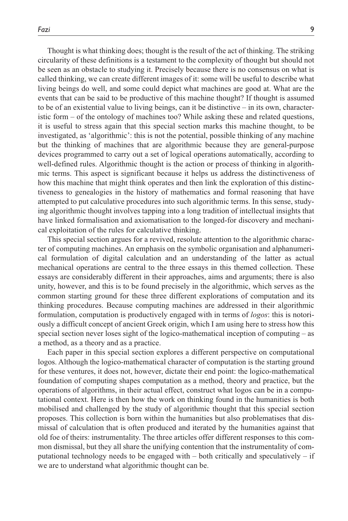Thought is what thinking does; thought is the result of the act of thinking. The striking circularity of these definitions is a testament to the complexity of thought but should not be seen as an obstacle to studying it. Precisely because there is no consensus on what is called thinking, we can create different images of it: some will be useful to describe what living beings do well, and some could depict what machines are good at. What are the events that can be said to be productive of this machine thought? If thought is assumed to be of an existential value to living beings, can it be distinctive – in its own, characteristic form – of the ontology of machines too? While asking these and related questions, it is useful to stress again that this special section marks this machine thought, to be investigated, as 'algorithmic': this is not the potential, possible thinking of any machine but the thinking of machines that are algorithmic because they are general-purpose devices programmed to carry out a set of logical operations automatically, according to well-defined rules. Algorithmic thought is the action or process of thinking in algorithmic terms. This aspect is significant because it helps us address the distinctiveness of how this machine that might think operates and then link the exploration of this distinctiveness to genealogies in the history of mathematics and formal reasoning that have attempted to put calculative procedures into such algorithmic terms. In this sense, studying algorithmic thought involves tapping into a long tradition of intellectual insights that have linked formalisation and axiomatisation to the longed-for discovery and mechanical exploitation of the rules for calculative thinking.

This special section argues for a revived, resolute attention to the algorithmic character of computing machines. An emphasis on the symbolic organisation and alphanumerical formulation of digital calculation and an understanding of the latter as actual mechanical operations are central to the three essays in this themed collection. These essays are considerably different in their approaches, aims and arguments; there is also unity, however, and this is to be found precisely in the algorithmic, which serves as the common starting ground for these three different explorations of computation and its thinking procedures. Because computing machines are addressed in their algorithmic formulation, computation is productively engaged with in terms of *logos*: this is notoriously a difficult concept of ancient Greek origin, which I am using here to stress how this special section never loses sight of the logico-mathematical inception of computing – as a method, as a theory and as a practice.

Each paper in this special section explores a different perspective on computational logos. Although the logico-mathematical character of computation is the starting ground for these ventures, it does not, however, dictate their end point: the logico-mathematical foundation of computing shapes computation as a method, theory and practice, but the operations of algorithms, in their actual effect, construct what logos can be in a computational context. Here is then how the work on thinking found in the humanities is both mobilised and challenged by the study of algorithmic thought that this special section proposes. This collection is born within the humanities but also problematises that dismissal of calculation that is often produced and iterated by the humanities against that old foe of theirs: instrumentality. The three articles offer different responses to this common dismissal, but they all share the unifying contention that the instrumentality of computational technology needs to be engaged with – both critically and speculatively – if we are to understand what algorithmic thought can be.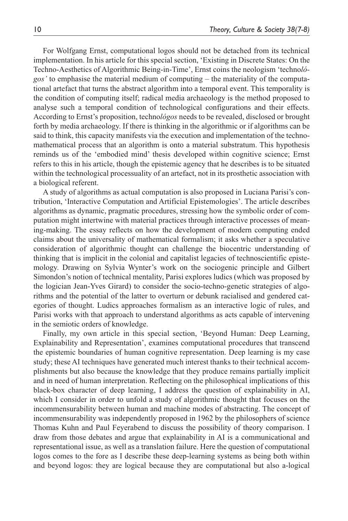For Wolfgang Ernst, computational logos should not be detached from its technical implementation. In his article for this special section, 'Existing in Discrete States: On the Techno-Aesthetics of Algorithmic Being-in-Time', Ernst coins the neologism 'techno*lógos'* to emphasise the material medium of computing – the materiality of the computational artefact that turns the abstract algorithm into a temporal event. This temporality is the condition of computing itself; radical media archaeology is the method proposed to analyse such a temporal condition of technological configurations and their effects. According to Ernst's proposition, techno*lógos* needs to be revealed, disclosed or brought forth by media archaeology. If there is thinking in the algorithmic or if algorithms can be said to think, this capacity manifests via the execution and implementation of the technomathematical process that an algorithm is onto a material substratum. This hypothesis reminds us of the 'embodied mind' thesis developed within cognitive science; Ernst refers to this in his article, though the epistemic agency that he describes is to be situated within the technological processuality of an artefact, not in its prosthetic association with a biological referent.

A study of algorithms as actual computation is also proposed in Luciana Parisi's contribution, 'Interactive Computation and Artificial Epistemologies'. The article describes algorithms as dynamic, pragmatic procedures, stressing how the symbolic order of computation might intertwine with material practices through interactive processes of meaning-making. The essay reflects on how the development of modern computing ended claims about the universality of mathematical formalism; it asks whether a speculative consideration of algorithmic thought can challenge the biocentric understanding of thinking that is implicit in the colonial and capitalist legacies of technoscientific epistemology. Drawing on Sylvia Wynter's work on the sociogenic principle and Gilbert Simondon's notion of technical mentality, Parisi explores ludics (which was proposed by the logician Jean-Yves Girard) to consider the socio-techno-genetic strategies of algorithms and the potential of the latter to overturn or debunk racialised and gendered categories of thought. Ludics approaches formalism as an interactive logic of rules, and Parisi works with that approach to understand algorithms as acts capable of intervening in the semiotic orders of knowledge.

Finally, my own article in this special section, 'Beyond Human: Deep Learning, Explainability and Representation', examines computational procedures that transcend the epistemic boundaries of human cognitive representation. Deep learning is my case study; these AI techniques have generated much interest thanks to their technical accomplishments but also because the knowledge that they produce remains partially implicit and in need of human interpretation. Reflecting on the philosophical implications of this black-box character of deep learning, I address the question of explainability in AI, which I consider in order to unfold a study of algorithmic thought that focuses on the incommensurability between human and machine modes of abstracting. The concept of incommensurability was independently proposed in 1962 by the philosophers of science Thomas Kuhn and Paul Feyerabend to discuss the possibility of theory comparison. I draw from those debates and argue that explainability in AI is a communicational and representational issue, as well as a translation failure. Here the question of computational logos comes to the fore as I describe these deep-learning systems as being both within and beyond logos: they are logical because they are computational but also a-logical